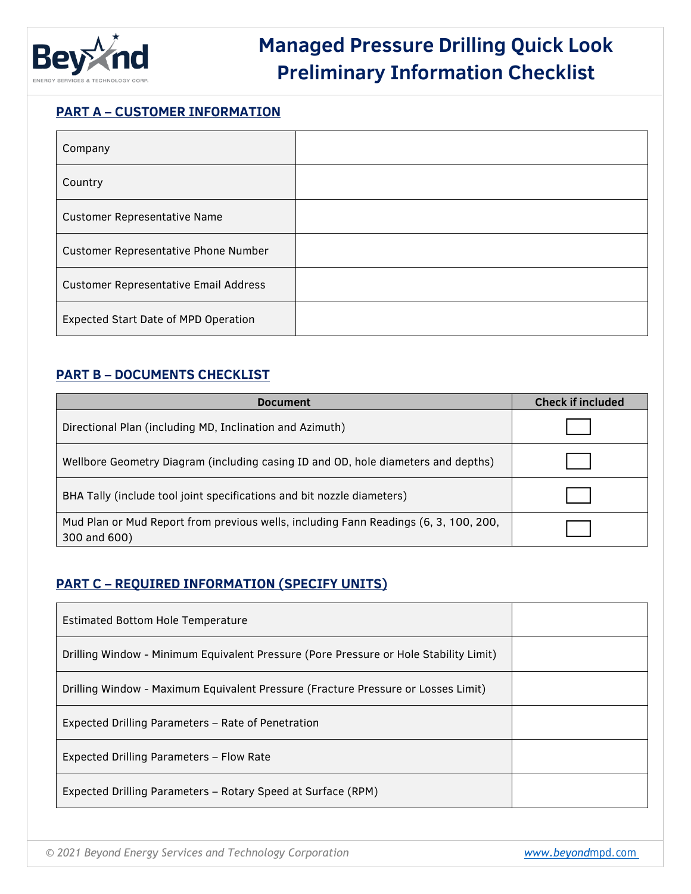

## **Managed Pressure Drilling Quick Look Preliminary Information Checklist**

#### **PART A – CUSTOMER INFORMATION**

| Company                                      |  |
|----------------------------------------------|--|
| Country                                      |  |
| <b>Customer Representative Name</b>          |  |
| <b>Customer Representative Phone Number</b>  |  |
| <b>Customer Representative Email Address</b> |  |
| Expected Start Date of MPD Operation         |  |

### **PART B – DOCUMENTS CHECKLIST**

| <b>Document</b>                                                                                      | <b>Check if included</b> |
|------------------------------------------------------------------------------------------------------|--------------------------|
| Directional Plan (including MD, Inclination and Azimuth)                                             |                          |
| Wellbore Geometry Diagram (including casing ID and OD, hole diameters and depths)                    |                          |
| BHA Tally (include tool joint specifications and bit nozzle diameters)                               |                          |
| Mud Plan or Mud Report from previous wells, including Fann Readings (6, 3, 100, 200,<br>300 and 600) |                          |

### **PART C – REQUIRED INFORMATION (SPECIFY UNITS)**

| Estimated Bottom Hole Temperature                                                     |  |
|---------------------------------------------------------------------------------------|--|
| Drilling Window - Minimum Equivalent Pressure (Pore Pressure or Hole Stability Limit) |  |
| Drilling Window - Maximum Equivalent Pressure (Fracture Pressure or Losses Limit)     |  |
| Expected Drilling Parameters – Rate of Penetration                                    |  |
| Expected Drilling Parameters - Flow Rate                                              |  |
| Expected Drilling Parameters - Rotary Speed at Surface (RPM)                          |  |

*© 2021 Beyond Energy Services and Technology Corporation [www.beyond](http://www.beyondenergy.ca/)mpd.com*